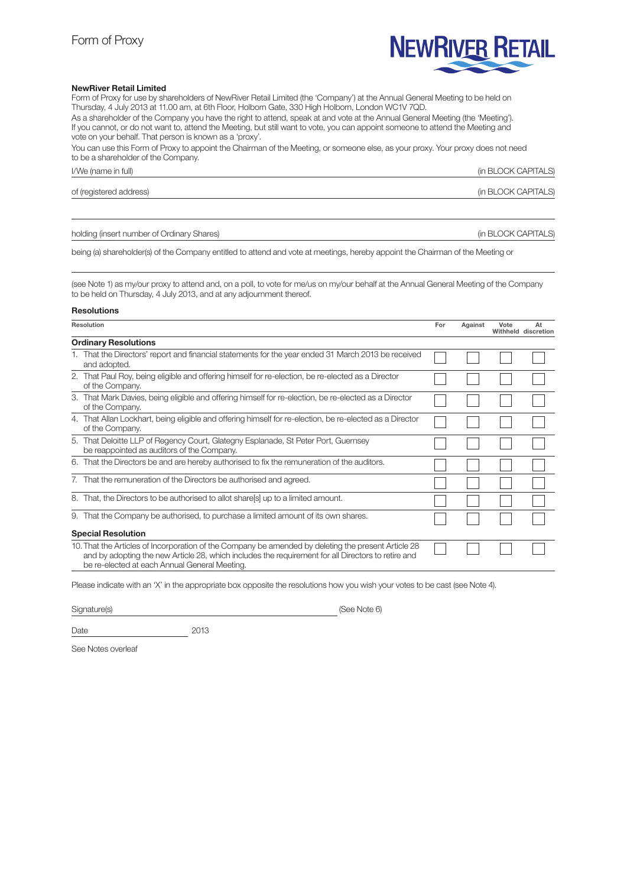# **NEWRIVER RETAIL**

#### NewRiver Retail Limited

Form of Proxy for use by shareholders of NewRiver Retail Limited (the 'Company') at the Annual General Meeting to be held on Thursday, 4 July 2013 at 11.00 am, at 6th Floor, Holborn Gate, 330 High Holborn, London WC1V 7QD. As a shareholder of the Company you have the right to attend, speak at and vote at the Annual General Meeting (the 'Meeting').

If you cannot, or do not want to, attend the Meeting, but still want to vote, you can appoint someone to attend the Meeting and vote on your behalf. That person is known as a 'proxy'.

You can use this Form of Proxy to appoint the Chairman of the Meeting, or someone else, as your proxy. Your proxy does not need to be a shareholder of the Company.

#### I/We (name in full) (in BLOCK CAPITALS)

of (registered address) (in BLOCK CAPITALS)

holding (insert number of Ordinary Shares) and the state of the state of Ordinary Shares) and the state of the state of  $\alpha$ PITALS)

being (a) shareholder(s) of the Company entitled to attend and vote at meetings, hereby appoint the Chairman of the Meeting or

(see Note 1) as my/our proxy to attend and, on a poll, to vote for me/us on my/our behalf at the Annual General Meeting of the Company to be held on Thursday, 4 July 2013, and at any adjournment thereof.

## Resolutions

| Resolution                  |                                                                                                                                                                                                                                                            | For | Against | Vote | At<br>Withheld discretion |
|-----------------------------|------------------------------------------------------------------------------------------------------------------------------------------------------------------------------------------------------------------------------------------------------------|-----|---------|------|---------------------------|
| <b>Ordinary Resolutions</b> |                                                                                                                                                                                                                                                            |     |         |      |                           |
|                             | 1. That the Directors' report and financial statements for the year ended 31 March 2013 be received<br>and adopted.                                                                                                                                        |     |         |      |                           |
|                             | 2. That Paul Roy, being eligible and offering himself for re-election, be re-elected as a Director<br>of the Company.                                                                                                                                      |     |         |      |                           |
|                             | 3. That Mark Davies, being eligible and offering himself for re-election, be re-elected as a Director<br>of the Company.                                                                                                                                   |     |         |      |                           |
|                             | 4. That Allan Lockhart, being eligible and offering himself for re-election, be re-elected as a Director<br>of the Company.                                                                                                                                |     |         |      |                           |
|                             | 5. That Deloitte LLP of Regency Court, Glategny Esplanade, St Peter Port, Guernsey<br>be reappointed as auditors of the Company.                                                                                                                           |     |         |      |                           |
|                             | 6. That the Directors be and are hereby authorised to fix the remuneration of the auditors.                                                                                                                                                                |     |         |      |                           |
|                             | 7. That the remuneration of the Directors be authorised and agreed.                                                                                                                                                                                        |     |         |      |                           |
|                             | 8. That, the Directors to be authorised to allot share s up to a limited amount.                                                                                                                                                                           |     |         |      |                           |
|                             | 9. That the Company be authorised, to purchase a limited amount of its own shares.                                                                                                                                                                         |     |         |      |                           |
|                             | <b>Special Resolution</b>                                                                                                                                                                                                                                  |     |         |      |                           |
|                             | 10. That the Articles of Incorporation of the Company be amended by deleting the present Article 28<br>and by adopting the new Article 28, which includes the requirement for all Directors to retire and<br>be re-elected at each Annual General Meeting. |     |         |      |                           |

Please indicate with an 'X' in the appropriate box opposite the resolutions how you wish your votes to be cast (see Note 4).

Signature(s) (See Note 6)

Date 2013

See Notes overleaf